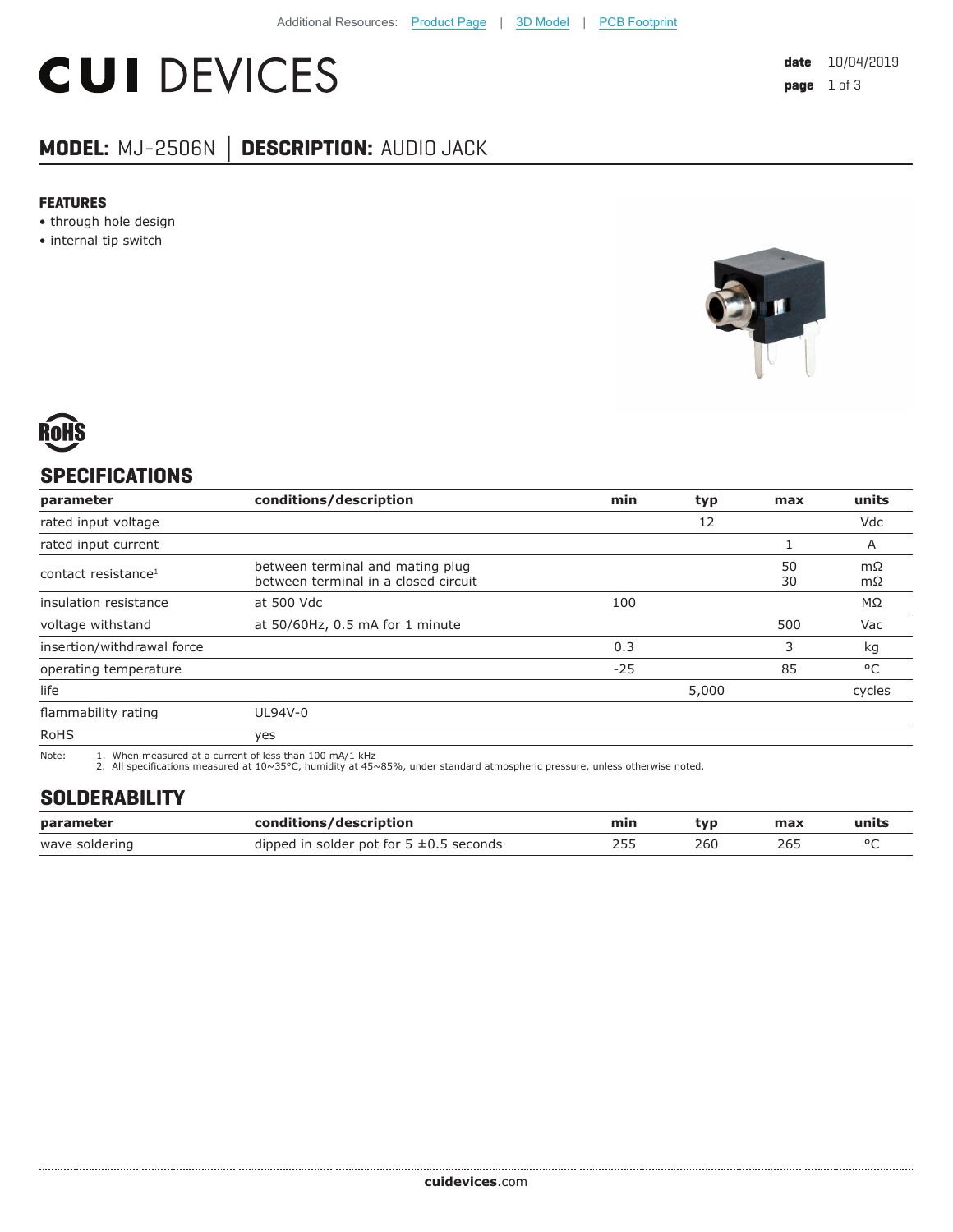# **CUI DEVICES**

# **MODEL:** MJ-2506N **│ DESCRIPTION:** AUDIO JACK

#### **FEATURES**

- through hole design
- internal tip switch





## **SPECIFICATIONS**

| parameter                       | conditions/description                                                   | min   | typ   | max      | units    |
|---------------------------------|--------------------------------------------------------------------------|-------|-------|----------|----------|
| rated input voltage             |                                                                          |       | 12    |          | Vdc      |
| rated input current             |                                                                          |       |       |          | A        |
| contact resistance <sup>1</sup> | between terminal and mating plug<br>between terminal in a closed circuit |       |       | 50<br>30 | mΩ<br>mΩ |
| insulation resistance           | at 500 Vdc                                                               | 100   |       |          | MΩ       |
| voltage withstand               | at 50/60Hz, 0.5 mA for 1 minute                                          |       |       | 500      | Vac      |
| insertion/withdrawal force      |                                                                          | 0.3   |       | 3        | kg       |
| operating temperature           |                                                                          | $-25$ |       | 85       | °C       |
| life                            |                                                                          |       | 5,000 |          | cycles   |
| flammability rating             | UL94V-0                                                                  |       |       |          |          |
| <b>RoHS</b>                     | yes                                                                      |       |       |          |          |

Note: 1. When measured at a current of less than 100 mA/1 kHz 2. All specifications measured at 10~35°C, humidity at 45~85%, under standard atmospheric pressure, unless otherwise noted.

#### **SOLDERABILITY**

| parameter      | conditions/description                       | min | tvp | max | units |
|----------------|----------------------------------------------|-----|-----|-----|-------|
| wave soldering | dipped in solder pot for $5 \pm 0.5$ seconds |     | 260 |     |       |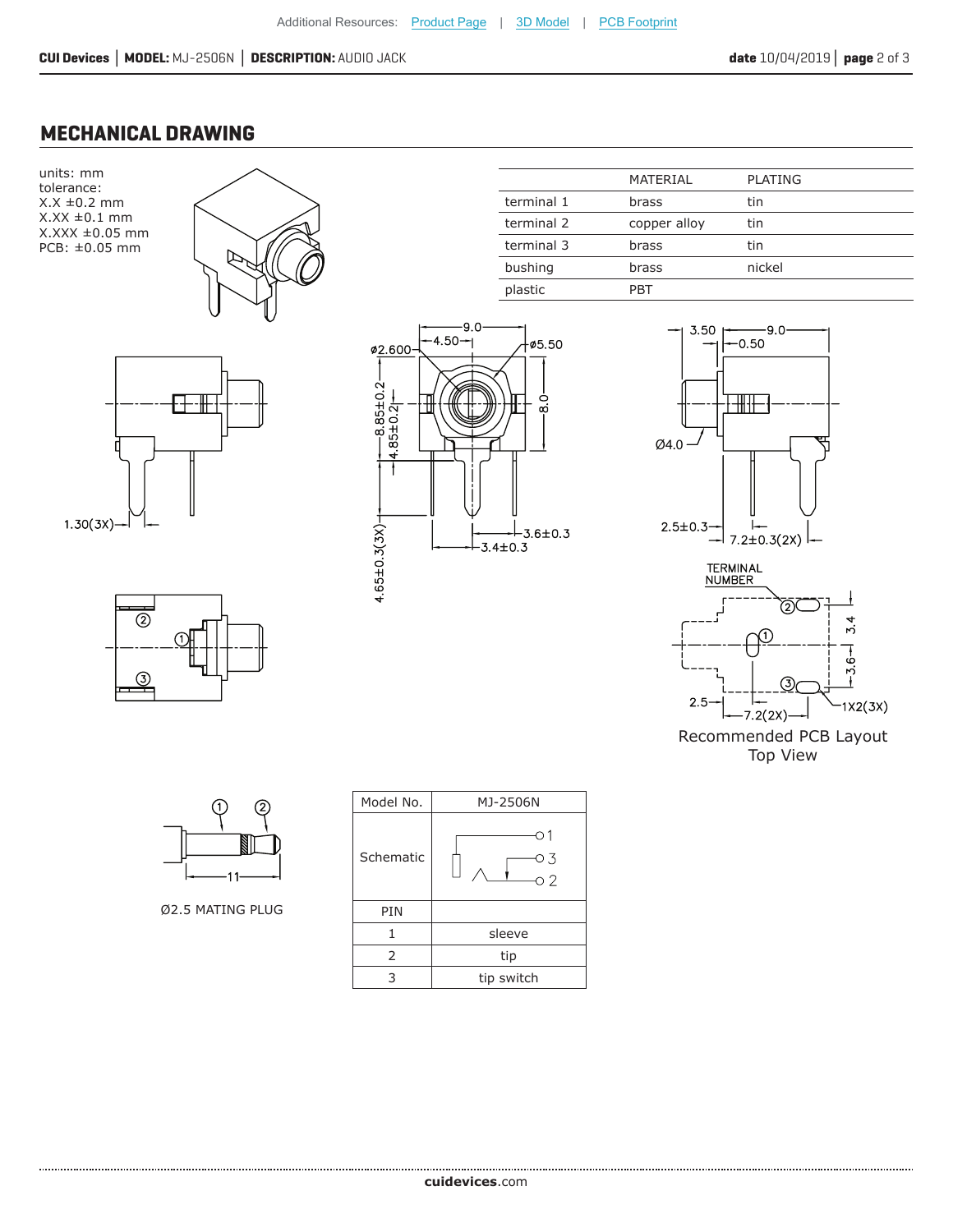### **MECHANICAL DRAWING**

units: mm tolerance:  $X.X \pm 0.2$  mm  $X.XX \pm 0.1$  mm X.XXX ±0.05 mm PCB: ±0.05 mm









|            | MATERIAL     | <b>PLATING</b> |
|------------|--------------|----------------|
| terminal 1 | brass        | tin            |
| terminal 2 | copper alloy | tin            |
| terminal 3 | brass        | tin            |
| bushing    | brass        | nickel         |
| plastic    | PRT          |                |
|            |              |                |





Ø2.5 MATING PLUG

| Model No. | MJ-2506N        |
|-----------|-----------------|
| Schematic | 03<br>$\circ$ 2 |
| PIN       |                 |
| 1         | sleeve          |
| 2         | tip             |
| 3         | tip switch      |